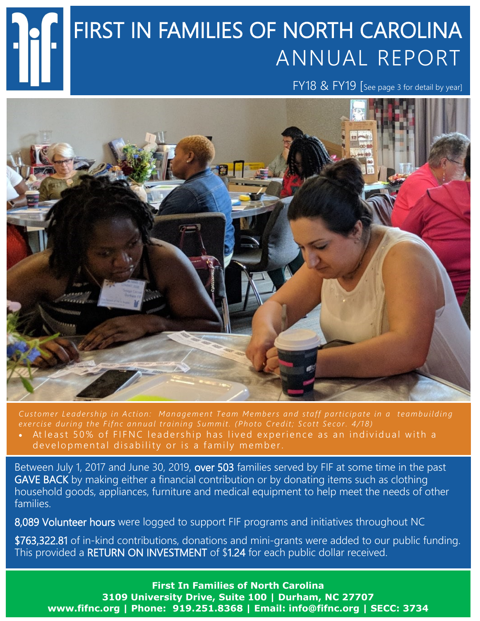# FIRST IN FAMILIES OF NORTH CAROLINA ANNUAL REPORT

FY18 & FY19 [See page 3 for detail by year]



*Customer Leadership in Action: Management Team Members and staff participate in a teambuilding exercise during the Fifnc annual training Summit. (Photo Credit; Scott Secor. 4/18)* 

At least 50% of FIFNC leadership has lived experience as an individual with a developmental disability or is a family member.

Between July 1, 2017 and June 30, 2019, over 503 families served by FIF at some time in the past GAVE BACK by making either a financial contribution or by donating items such as clothing household goods, appliances, furniture and medical equipment to help meet the needs of other families.

8,089 Volunteer hours were logged to support FIF programs and initiatives throughout NC

\$763,322.81 of in-kind contributions, donations and mini-grants were added to our public funding. This provided a RETURN ON INVESTMENT of \$1.24 for each public dollar received.

**First In Families of North Carolina 3109 University Drive, Suite 100 | Durham, NC 27707 www.fifnc.org | Phone: 919.251.8368 | Email: info@fifnc.org | SECC: 3734**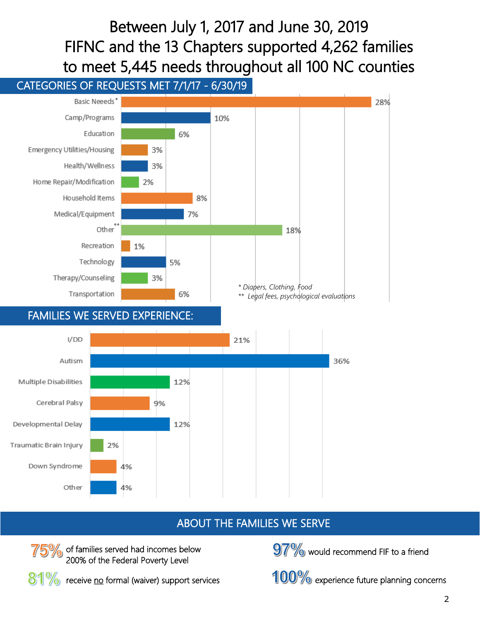Between July 1, 2017 and June 30, 2019 FIFNC and the 13 Chapters supported 4,262 families to meet 5,445 needs throughout all 100 NC counties

### CATEGORIES OF REQUESTS MET 7/1/17 - 6/30/19



#### ABOUT THE FAMILIES WE SERVE



of families served had incomes below 200% of the Federal Poverty Level

81% receive no formal (waiver) support services

 $97\%$  would recommend FIF to a friend

100% experience future planning concerns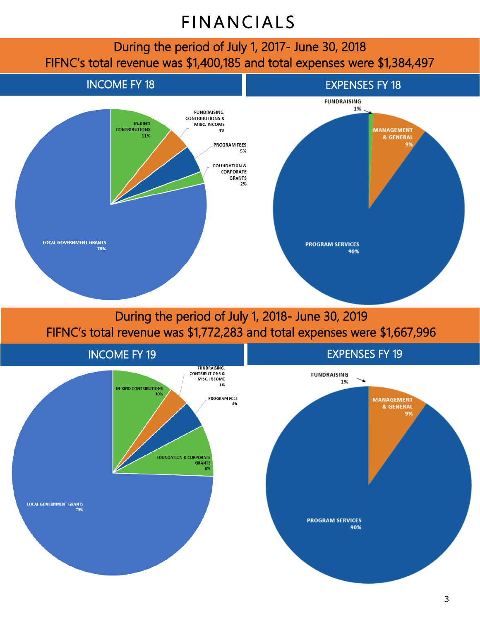## **FINANCIALS**

During the period of July 1, 2017- June 30, 2018 FIFNC's total revenue was \$1,400,185 and total expenses were \$1,384,497



During the period of July 1, 2018- June 30, 2019 FIFNC's total revenue was \$1,772,283 and total expenses were \$1,667,996